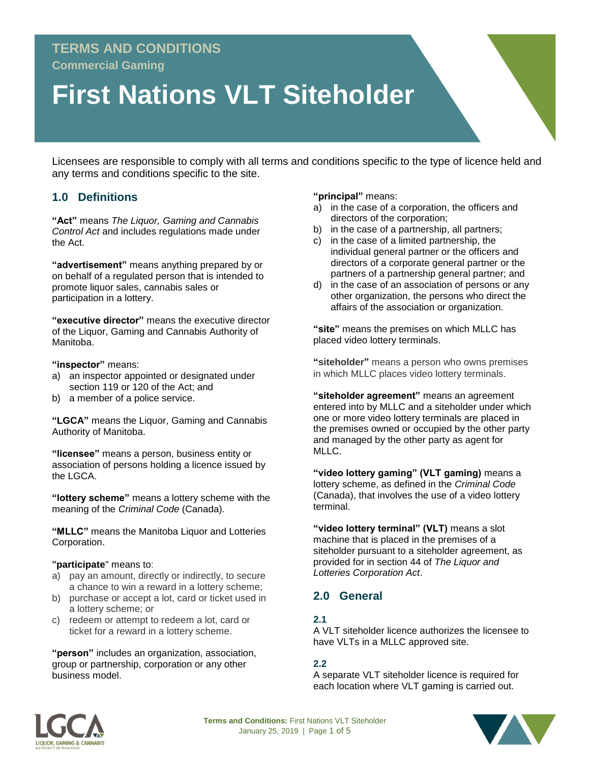# **TERMS AND CONDITIONS**

**Commercial Gaming**

# **First Nations VLT Siteholder**

Licensees are responsible to comply with all terms and conditions specific to the type of licence held and any terms and conditions specific to the site.

## **1.0 Definitions**

**"Act"** means *The Liquor, Gaming and Cannabis Control Act* and includes regulations made under the Act.

**"advertisement"** means anything prepared by or on behalf of a regulated person that is intended to promote liquor sales, cannabis sales or participation in a lottery.

**"executive director"** means the executive director of the Liquor, Gaming and Cannabis Authority of Manitoba.

**"inspector"** means:

- a) an inspector appointed or designated under section 119 or 120 of the Act; and
- b) a member of a police service.

**"LGCA"** means the Liquor, Gaming and Cannabis Authority of Manitoba.

**"licensee"** means a person, business entity or association of persons holding a licence issued by the LGCA.

**"lottery scheme"** means a lottery scheme with the meaning of the *Criminal Code* (Canada).

**"MLLC"** means the Manitoba Liquor and Lotteries Corporation.

#### **"participate**" means to:

- a) pay an amount, directly or indirectly, to secure a chance to win a reward in a lottery scheme;
- b) purchase or accept a lot, card or ticket used in a lottery scheme; or
- c) redeem or attempt to redeem a lot, card or ticket for a reward in a lottery scheme.

**"person"** includes an organization, association, group or partnership, corporation or any other business model.

**"principal"** means:

- a) in the case of a corporation, the officers and directors of the corporation;
- b) in the case of a partnership, all partners;
- c) in the case of a limited partnership, the individual general partner or the officers and directors of a corporate general partner or the partners of a partnership general partner; and
- d) in the case of an association of persons or any other organization, the persons who direct the affairs of the association or organization.

**"site"** means the premises on which MLLC has placed video lottery terminals.

**"siteholder"** means a person who owns premises in which MLLC places video lottery terminals.

**"siteholder agreement"** means an agreement entered into by MLLC and a siteholder under which one or more video lottery terminals are placed in the premises owned or occupied by the other party and managed by the other party as agent for MLLC.

**"video lottery gaming" (VLT gaming)** means a lottery scheme, as defined in the *Criminal Code*  (Canada), that involves the use of a video lottery terminal.

**"video lottery terminal" (VLT)** means a slot machine that is placed in the premises of a siteholder pursuant to a siteholder agreement, as provided for in section 44 of *The Liquor and Lotteries Corporation Act*.

## **2.0 General**

#### **2.1**

A VLT siteholder licence authorizes the licensee to have VLTs in a MLLC approved site.

## **2.2**

A separate VLT siteholder licence is required for each location where VLT gaming is carried out.



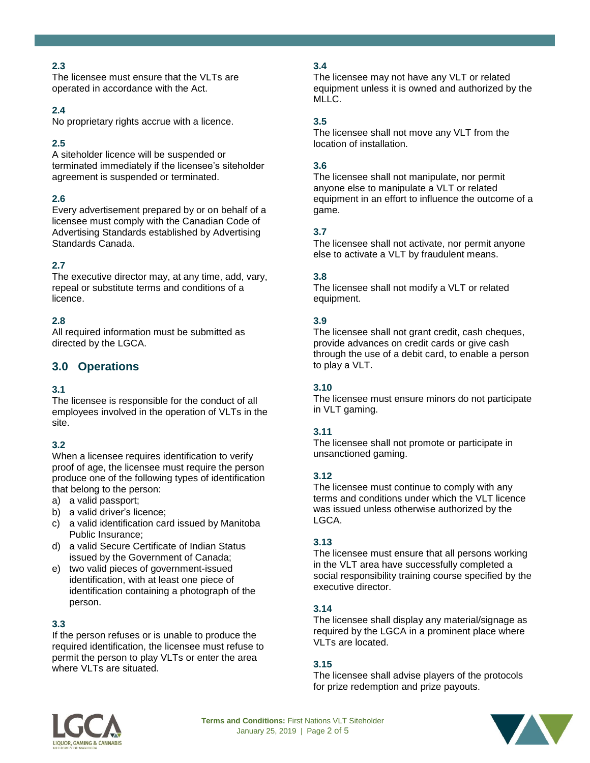## **2.3**

The licensee must ensure that the VLTs are operated in accordance with the Act.

#### **2.4**

No proprietary rights accrue with a licence.

## **2.5**

A siteholder licence will be suspended or terminated immediately if the licensee's siteholder agreement is suspended or terminated.

## **2.6**

Every advertisement prepared by or on behalf of a licensee must comply with the Canadian Code of Advertising Standards established by Advertising Standards Canada.

## **2.7**

The executive director may, at any time, add, vary, repeal or substitute terms and conditions of a licence.

## **2.8**

All required information must be submitted as directed by the LGCA.

## **3.0 Operations**

## **3.1**

The licensee is responsible for the conduct of all employees involved in the operation of VLTs in the site.

## **3.2**

When a licensee requires identification to verify proof of age, the licensee must require the person produce one of the following types of identification that belong to the person:

- a) a valid passport;
- b) a valid driver's licence;
- c) a valid identification card issued by Manitoba Public Insurance;
- d) a valid Secure Certificate of Indian Status issued by the Government of Canada;
- e) two valid pieces of government-issued identification, with at least one piece of identification containing a photograph of the person.

## **3.3**

If the person refuses or is unable to produce the required identification, the licensee must refuse to permit the person to play VLTs or enter the area where VLTs are situated.

## **3.4**

The licensee may not have any VLT or related equipment unless it is owned and authorized by the MLLC.

## **3.5**

The licensee shall not move any VLT from the location of installation.

#### **3.6**

The licensee shall not manipulate, nor permit anyone else to manipulate a VLT or related equipment in an effort to influence the outcome of a game.

#### **3.7**

The licensee shall not activate, nor permit anyone else to activate a VLT by fraudulent means.

#### **3.8**

The licensee shall not modify a VLT or related equipment.

## **3.9**

The licensee shall not grant credit, cash cheques, provide advances on credit cards or give cash through the use of a debit card, to enable a person to play a VLT.

#### **3.10**

The licensee must ensure minors do not participate in VLT gaming.

## **3.11**

The licensee shall not promote or participate in unsanctioned gaming.

#### **3.12**

The licensee must continue to comply with any terms and conditions under which the VLT licence was issued unless otherwise authorized by the LGCA.

## **3.13**

The licensee must ensure that all persons working in the VLT area have successfully completed a social responsibility training course specified by the executive director.

#### **3.14**

The licensee shall display any material/signage as required by the LGCA in a prominent place where VLTs are located.

#### **3.15**

The licensee shall advise players of the protocols for prize redemption and prize payouts.



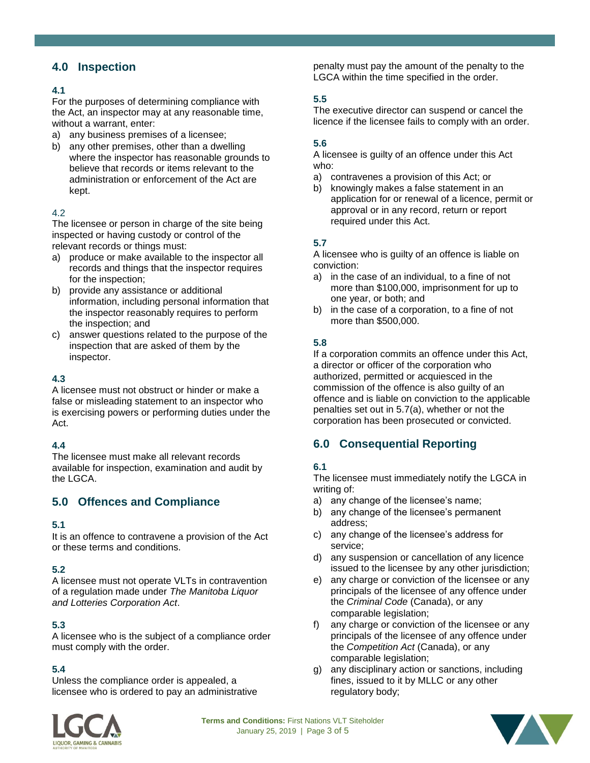## **4.0 Inspection**

## **4.1**

For the purposes of determining compliance with the Act, an inspector may at any reasonable time, without a warrant, enter:

- a) any business premises of a licensee;
- b) any other premises, other than a dwelling where the inspector has reasonable grounds to believe that records or items relevant to the administration or enforcement of the Act are kept.

#### 4.2

The licensee or person in charge of the site being inspected or having custody or control of the relevant records or things must:

- a) produce or make available to the inspector all records and things that the inspector requires for the inspection;
- b) provide any assistance or additional information, including personal information that the inspector reasonably requires to perform the inspection; and
- c) answer questions related to the purpose of the inspection that are asked of them by the inspector.

## **4.3**

A licensee must not obstruct or hinder or make a false or misleading statement to an inspector who is exercising powers or performing duties under the Act.

## **4.4**

The licensee must make all relevant records available for inspection, examination and audit by the LGCA.

# **5.0 Offences and Compliance**

## **5.1**

It is an offence to contravene a provision of the Act or these terms and conditions.

## **5.2**

A licensee must not operate VLTs in contravention of a regulation made under *The Manitoba Liquor and Lotteries Corporation Act*.

## **5.3**

A licensee who is the subject of a compliance order must comply with the order.

## **5.4**

Unless the compliance order is appealed, a licensee who is ordered to pay an administrative penalty must pay the amount of the penalty to the LGCA within the time specified in the order.

#### **5.5**

The executive director can suspend or cancel the licence if the licensee fails to comply with an order.

#### **5.6**

A licensee is guilty of an offence under this Act who:

- a) contravenes a provision of this Act; or
- b) knowingly makes a false statement in an application for or renewal of a licence, permit or approval or in any record, return or report required under this Act.

#### **5.7**

A licensee who is guilty of an offence is liable on conviction:

- a) in the case of an individual, to a fine of not more than \$100,000, imprisonment for up to one year, or both; and
- b) in the case of a corporation, to a fine of not more than \$500,000.

## **5.8**

If a corporation commits an offence under this Act, a director or officer of the corporation who authorized, permitted or acquiesced in the commission of the offence is also guilty of an offence and is liable on conviction to the applicable penalties set out in 5.7(a), whether or not the corporation has been prosecuted or convicted.

# **6.0 Consequential Reporting**

## **6.1**

The licensee must immediately notify the LGCA in writing of:

- a) any change of the licensee's name;
- b) any change of the licensee's permanent address;
- c) any change of the licensee's address for service;
- d) any suspension or cancellation of any licence issued to the licensee by any other jurisdiction;
- e) any charge or conviction of the licensee or any principals of the licensee of any offence under the *Criminal Code* (Canada), or any comparable legislation;
- f) any charge or conviction of the licensee or any principals of the licensee of any offence under the *Competition Act* (Canada), or any comparable legislation;
- g) any disciplinary action or sanctions, including fines, issued to it by MLLC or any other regulatory body;



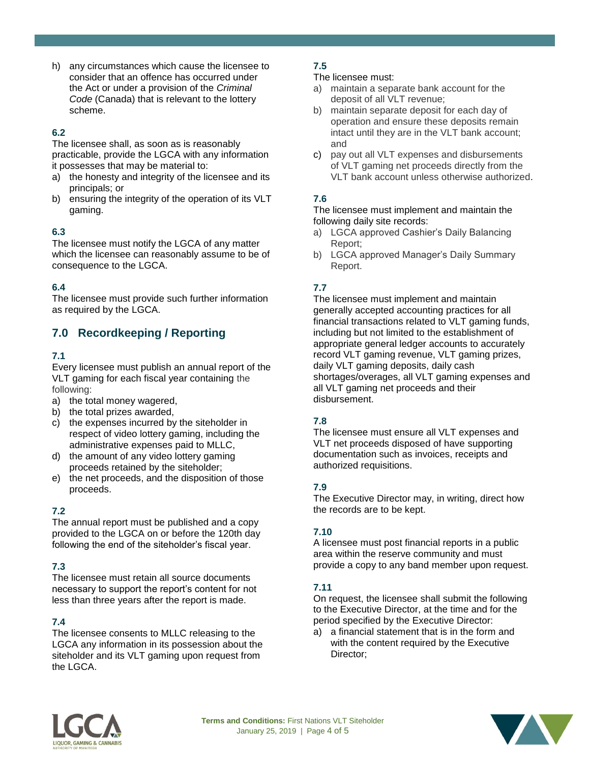h) any circumstances which cause the licensee to consider that an offence has occurred under the Act or under a provision of the *Criminal Code* (Canada) that is relevant to the lottery scheme.

## **6.2**

The licensee shall, as soon as is reasonably practicable, provide the LGCA with any information it possesses that may be material to:

- a) the honesty and integrity of the licensee and its principals; or
- b) ensuring the integrity of the operation of its VLT gaming.

## **6.3**

The licensee must notify the LGCA of any matter which the licensee can reasonably assume to be of consequence to the LGCA.

## **6.4**

The licensee must provide such further information as required by the LGCA.

# **7.0 Recordkeeping / Reporting**

#### **7.1**

Every licensee must publish an annual report of the VLT gaming for each fiscal year containing the following:

- a) the total money wagered,
- b) the total prizes awarded,
- c) the expenses incurred by the siteholder in respect of video lottery gaming, including the administrative expenses paid to MLLC,
- d) the amount of any video lottery gaming proceeds retained by the siteholder;
- e) the net proceeds, and the disposition of those proceeds.

## **7.2**

The annual report must be published and a copy provided to the LGCA on or before the 120th day following the end of the siteholder's fiscal year.

## **7.3**

The licensee must retain all source documents necessary to support the report's content for not less than three years after the report is made.

## **7.4**

The licensee consents to MLLC releasing to the LGCA any information in its possession about the siteholder and its VLT gaming upon request from the LGCA.

## **7.5**

- The licensee must:
- a) maintain a separate bank account for the deposit of all VLT revenue;
- b) maintain separate deposit for each day of operation and ensure these deposits remain intact until they are in the VLT bank account; and
- c) pay out all VLT expenses and disbursements of VLT gaming net proceeds directly from the VLT bank account unless otherwise authorized.

## **7.6**

The licensee must implement and maintain the following daily site records:

- a) LGCA approved Cashier's Daily Balancing Report;
- b) LGCA approved Manager's Daily Summary Report.

## **7.7**

The licensee must implement and maintain generally accepted accounting practices for all financial transactions related to VLT gaming funds, including but not limited to the establishment of appropriate general ledger accounts to accurately record VLT gaming revenue, VLT gaming prizes, daily VLT gaming deposits, daily cash shortages/overages, all VLT gaming expenses and all VLT gaming net proceeds and their disbursement.

## **7.8**

The licensee must ensure all VLT expenses and VLT net proceeds disposed of have supporting documentation such as invoices, receipts and authorized requisitions.

## **7.9**

The Executive Director may, in writing, direct how the records are to be kept.

## **7.10**

A licensee must post financial reports in a public area within the reserve community and must provide a copy to any band member upon request.

#### **7.11**

On request, the licensee shall submit the following to the Executive Director, at the time and for the period specified by the Executive Director:

a) a financial statement that is in the form and with the content required by the Executive Director;